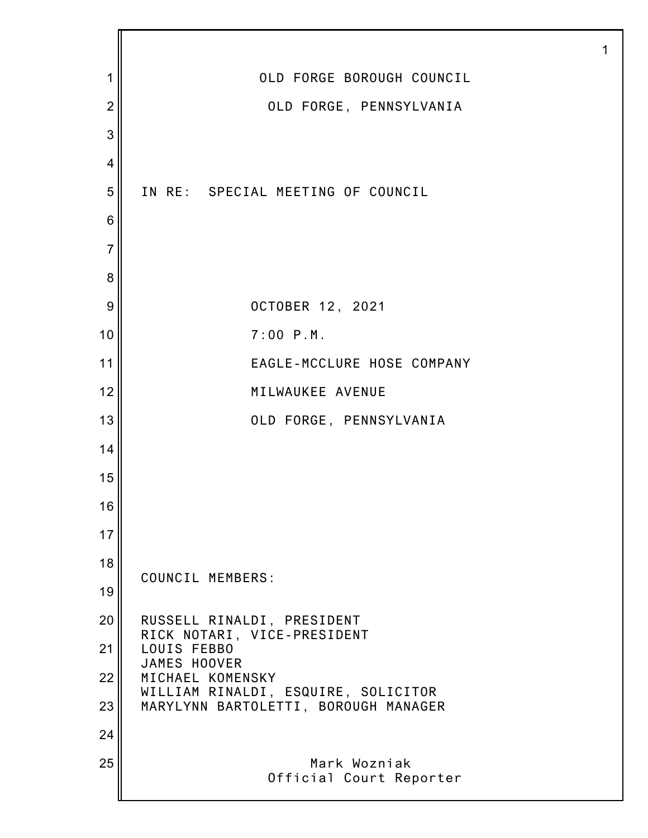| 1              | OLD FORGE BOROUGH COUNCIL                                 |
|----------------|-----------------------------------------------------------|
| $\overline{2}$ | OLD FORGE, PENNSYLVANIA                                   |
| 3              |                                                           |
| 4              |                                                           |
| 5              | IN RE: SPECIAL MEETING OF COUNCIL                         |
| 6              |                                                           |
| $\overline{7}$ |                                                           |
| 8              |                                                           |
| 9              | OCTOBER 12, 2021                                          |
| 10             | $7:00$ $P.M.$                                             |
| 11             | EAGLE-MCCLURE HOSE COMPANY                                |
| 12             | MILWAUKEE AVENUE                                          |
| 13             | OLD FORGE, PENNSYLVANIA                                   |
| 14             |                                                           |
| 15             |                                                           |
| 16             |                                                           |
| 17             |                                                           |
| 18             | COUNCIL MEMBERS:                                          |
| 19             |                                                           |
| 20             | RUSSELL RINALDI, PRESIDENT<br>RICK NOTARI, VICE-PRESIDENT |
| 21             | LOUIS FEBBO<br>JAMES HOOVER                               |
| 22             | MICHAEL KOMENSKY<br>WILLIAM RINALDI, ESQUIRE, SOLICITOR   |
| 23             | MARYLYNN BARTOLETTI, BOROUGH MANAGER                      |
| 24             |                                                           |
| 25             | Mark Wozniak<br>Official Court Reporter                   |
|                |                                                           |

1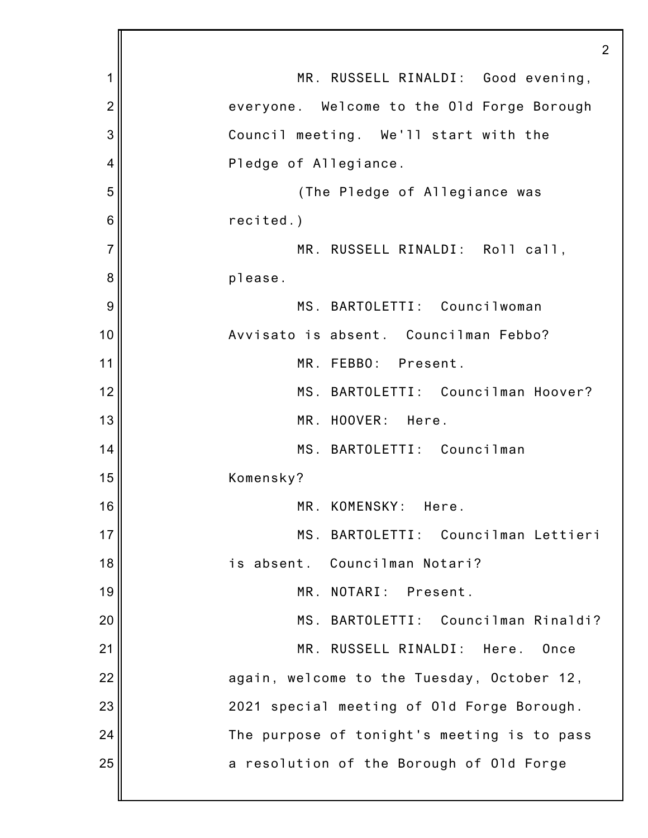|                | 2                                           |
|----------------|---------------------------------------------|
| 1              | MR. RUSSELL RINALDI: Good evening,          |
| $\overline{c}$ | everyone. Welcome to the Old Forge Borough  |
| 3              | Council meeting. We'll start with the       |
| 4              | Pledge of Allegiance.                       |
| 5              | (The Pledge of Allegiance was               |
| 6              | recited.)                                   |
| 7              | MR. RUSSELL RINALDI: Roll call,             |
| 8              | please.                                     |
| 9              | MS. BARTOLETTI: Councilwoman                |
| 10             | Avvisato is absent. Councilman Febbo?       |
| 11             | MR. FEBBO: Present.                         |
| 12             | MS. BARTOLETTI: Councilman Hoover?          |
| 13             | MR. HOOVER: Here.                           |
| 14             | MS. BARTOLETTI: Councilman                  |
| 15             | Komensky?                                   |
| 16             | MR. KOMENSKY: Here.                         |
| 17             | MS. BARTOLETTI: Councilman Lettieri         |
| 18             | is absent. Councilman Notari?               |
| 19             | MR. NOTARI: Present.                        |
| 20             | MS. BARTOLETTI: Councilman Rinaldi?         |
| 21             | MR. RUSSELL RINALDI:<br>Here.<br>Once       |
| 22             | again, welcome to the Tuesday, October 12,  |
| 23             | 2021 special meeting of Old Forge Borough.  |
| 24             | The purpose of tonight's meeting is to pass |
| 25             | a resolution of the Borough of Old Forge    |
|                |                                             |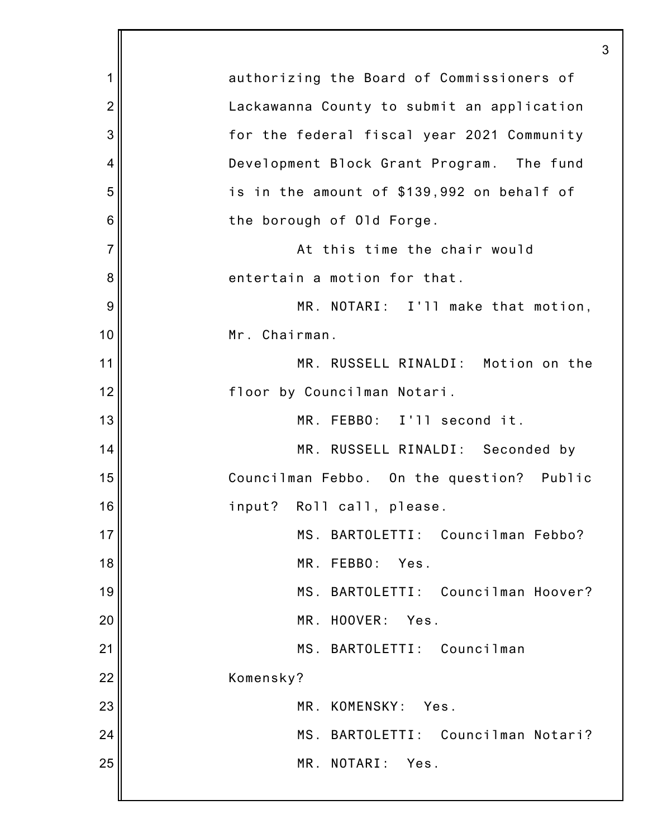| 1              | authorizing the Board of Commissioners of  |
|----------------|--------------------------------------------|
| $\overline{2}$ | Lackawanna County to submit an application |
| 3              | for the federal fiscal year 2021 Community |
| 4              | Development Block Grant Program. The fund  |
| 5              | is in the amount of \$139,992 on behalf of |
| 6              | the borough of Old Forge.                  |
| $\overline{7}$ | At this time the chair would               |
| 8              | entertain a motion for that.               |
| 9              | MR. NOTARI: I'll make that motion,         |
| 10             | Mr. Chairman.                              |
| 11             | MR. RUSSELL RINALDI: Motion on the         |
| 12             | floor by Councilman Notari.                |
| 13             | MR. FEBBO: I'll second it.                 |
| 14             | MR. RUSSELL RINALDI: Seconded by           |
| 15             | Councilman Febbo. On the question? Public  |
| 16             | input?<br>Roll call, please.               |
| 17             | BARTOLETTI: Councilman Febbo?<br>MS.       |
| 18             | MR.<br>FEBB0:<br>Yes.                      |
| 19             | MS. BARTOLETTI: Councilman Hoover?         |
| 20             | MR.<br>HOOVER:<br>Yes.                     |
| 21             | MS. BARTOLETTI: Councilman                 |
| 22             | Komensky?                                  |
| 23             | MR. KOMENSKY:<br>Yes.                      |
| 24             | BARTOLETTI: Councilman Notari?<br>MS.      |
| 25             | MR. NOTARI:<br>Yes.                        |
|                |                                            |

3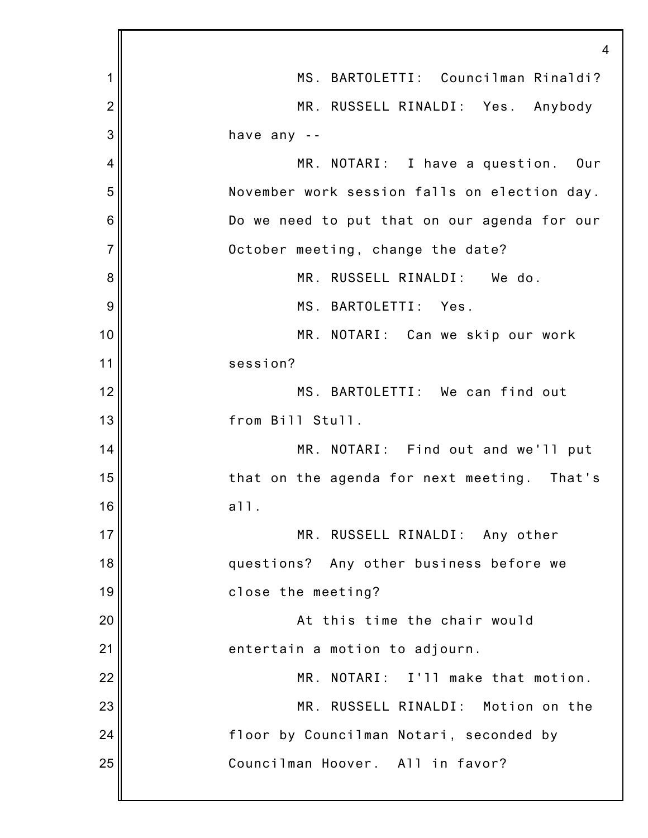|                | $\overline{4}$                                 |
|----------------|------------------------------------------------|
| 1              | MS. BARTOLETTI: Councilman Rinaldi?            |
| $\overline{2}$ | MR. RUSSELL RINALDI: Yes. Anybody              |
| 3              | have any --                                    |
| 4              | MR. NOTARI: I have a question. Our             |
| 5              | November work session falls on election day.   |
| 6              | Do we need to put that on our agenda for our   |
| $\overline{7}$ | October meeting, change the date?              |
| 8              | MR. RUSSELL RINALDI: We do.                    |
| 9              | MS. BARTOLETTI: Yes.                           |
| 10             | MR. NOTARI: Can we skip our work               |
| 11             | session?                                       |
| 12             | MS. BARTOLETTI: We can find out                |
| 13             | from Bill Stull.                               |
| 14             | MR. NOTARI: Find out and we'll put             |
| 15             | that on the agenda for next meeting.<br>That's |
| 16             | a11.                                           |
| 17             | MR. RUSSELL RINALDI: Any other                 |
| 18             | questions? Any other business before we        |
| 19             | close the meeting?                             |
| 20             | At this time the chair would                   |
| 21             | entertain a motion to adjourn.                 |
| 22             | MR. NOTARI: I'll make that motion.             |
| 23             | MR. RUSSELL RINALDI: Motion on the             |
| 24             | floor by Councilman Notari, seconded by        |
| 25             | Councilman Hoover. All in favor?               |
|                |                                                |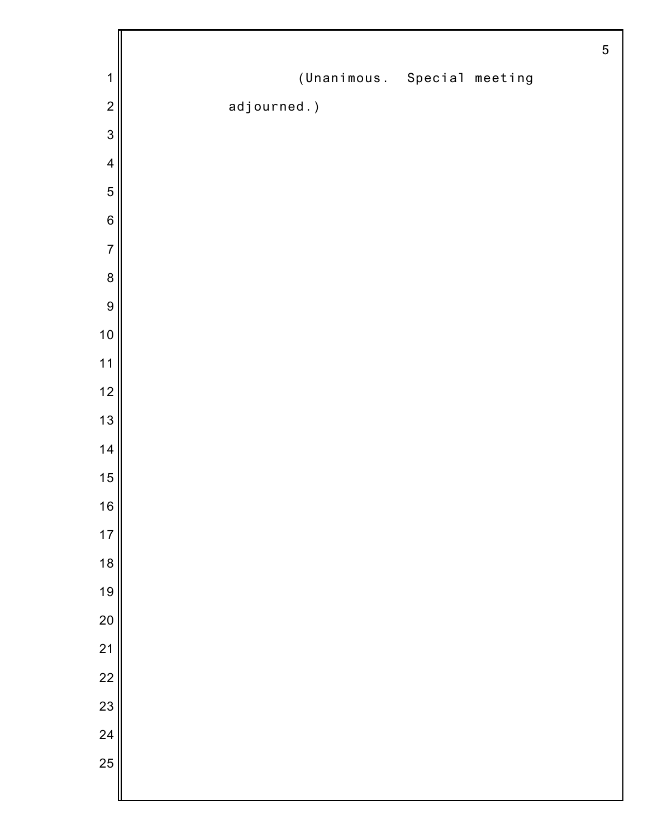